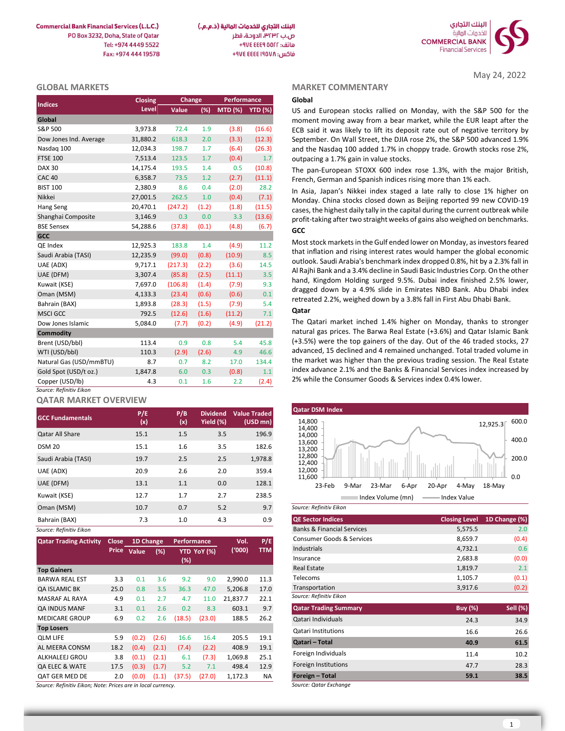**Commercial Bank Financial Services (L.L.C.)** PO Box 3232, Doha, State of Oatar Tel: +974 4449 5522 Fax: +974 444 19578



## GLOBAL MARKETS

| <b>Indices</b>          | Closing  | Change  |       | Performance     |        |
|-------------------------|----------|---------|-------|-----------------|--------|
|                         | Level    | Value   | (%)   | MTD (%) YTD (%) |        |
| Global                  |          |         |       |                 |        |
| S&P 500                 | 3,973.8  | 72.4    | 1.9   | (3.8)           | (16.6) |
| Dow Jones Ind. Average  | 31,880.2 | 618.3   | 2.0   | (3.3)           | (12.3) |
| Nasdag 100              | 12,034.3 | 198.7   | 1.7   | (6.4)           | (26.3) |
| <b>FTSE 100</b>         | 7,513.4  | 123.5   | 1.7   | (0.4)           | 1.7    |
| <b>DAX 30</b>           | 14,175.4 | 193.5   | 1.4   | 0.5             | (10.8) |
| <b>CAC 40</b>           | 6,358.7  | 73.5    | 1.2   | (2.7)           | (11.1) |
| <b>BIST 100</b>         | 2,380.9  | 8.6     | 0.4   | (2.0)           | 28.2   |
| Nikkei                  | 27,001.5 | 262.5   | 1.0   | (0.4)           | (7.1)  |
| Hang Seng               | 20,470.1 | (247.2) | (1.2) | (1.8)           | (11.5) |
| Shanghai Composite      | 3,146.9  | 0.3     | 0.0   | 3.3             | (13.6) |
| <b>BSE Sensex</b>       | 54,288.6 | (37.8)  | (0.1) | (4.8)           | (6.7)  |
| <b>GCC</b>              |          |         |       |                 |        |
| QE Index                | 12,925.3 | 183.8   | 1.4   | (4.9)           | 11.2   |
| Saudi Arabia (TASI)     | 12,235.9 | (99.0)  | (0.8) | (10.9)          | 8.5    |
| UAE (ADX)               | 9,717.1  | (217.3) | (2.2) | (3.6)           | 14.5   |
| UAE (DFM)               | 3,307.4  | (85.8)  | (2.5) | (11.1)          | 3.5    |
| Kuwait (KSE)            | 7,697.0  | (106.8) | (1.4) | (7.9)           | 9.3    |
| Oman (MSM)              | 4,133.3  | (23.4)  | (0.6) | (0.6)           | 0.1    |
| Bahrain (BAX)           | 1,893.8  | (28.3)  | (1.5) | (7.9)           | 5.4    |
| <b>MSCI GCC</b>         | 792.5    | (12.6)  | (1.6) | (11.2)          | 7.1    |
| Dow Jones Islamic       | 5,084.0  | (7.7)   | (0.2) | (4.9)           | (21.2) |
| <b>Commodity</b>        |          |         |       |                 |        |
| Brent (USD/bbl)         | 113.4    | 0.9     | 0.8   | 5.4             | 45.8   |
| WTI (USD/bbl)           | 110.3    | (2.9)   | (2.6) | 4.9             | 46.6   |
| Natural Gas (USD/mmBTU) | 8.7      | 0.7     | 8.2   | 17.0            | 134.4  |
| Gold Spot (USD/t oz.)   | 1,847.8  | 6.0     | 0.3   | (0.8)           | 1.1    |
| Copper (USD/lb)         | 4.3      | 0.1     | 1.6   | 2.2             | (2.4)  |
| Source: Refinitiv Eikon |          |         |       |                 |        |

# QATAR MARKET OVERVIEW

| <b>GCC Fundamentals</b> | P/E<br>(x) | P/B<br>(x) | <b>Dividend</b><br>Yield (%) | <b>Value Traded</b><br>$(USD \, mn)$ | <b>Qatar DSM Index</b><br>14,800<br>12,925.3          |
|-------------------------|------------|------------|------------------------------|--------------------------------------|-------------------------------------------------------|
| <b>Qatar All Share</b>  | 15.1       | 1.5        | 3.5                          | 196.9                                | 14,400<br>14,000                                      |
| <b>DSM 20</b>           | 15.1       | 1.6        | 3.5                          | 182.6                                | 13,600<br>13,200                                      |
| Saudi Arabia (TASI)     | 19.7       | 2.5        | 2.5                          | 1,978.8                              | 12,800<br>12,400                                      |
| UAE (ADX)               | 20.9       | 2.6        | 2.0                          | 359.4                                | 12,000<br>11,600                                      |
| UAE (DFM)               | 13.1       | 1.1        | 0.0                          | 128.1                                | 23-Feb<br>23-Mar<br>20-Apr<br>4-May<br>9-Mar<br>6-Apr |
| Kuwait (KSE)            | 12.7       | 1.7        | 2.7                          | 238.5                                | Index Volume (mn)<br>Index Value                      |
| Oman (MSM)              | 10.7       | 0.7        | 5.2                          | 9.7                                  | Source: Refinitiv Eikon                               |
| Bahrain (BAX)           | 7.3        | 1.0        | 4.3                          | 0.9                                  | <b>QE Sector Indices</b><br><b>Closing Level</b>      |
| Source: Refinitiv Eikon |            |            |                              |                                      | <b>Banks &amp; Financial Services</b><br>5,575.5      |

| <b>Qatar Trading Activity</b> | <b>Close</b> | 1D Change   |               | <b>Performance</b> |             | Vol.     | P/E        |
|-------------------------------|--------------|-------------|---------------|--------------------|-------------|----------|------------|
|                               |              | Price Value | (%)           |                    | YTD YoY (%) | ('000)   | <b>TTM</b> |
|                               |              |             |               | $(\%)$             |             |          |            |
| <b>Top Gainers</b>            |              |             |               |                    |             |          |            |
| <b>BARWA REAL EST</b>         | 3.3          | 0.1         | 3.6           | 9.2                | 9.0         | 2,990.0  | 11.3       |
| <b>QA ISLAMIC BK</b>          | 25.0         | 0.8         | 3.5           | 36.3               | 47.0        | 5,206.8  | 17.0       |
| MASRAF AL RAYA                | 4.9          | 0.1         | 2.7           | 4.7                | 11.0        | 21,837.7 | 22.1       |
| <b>QA INDUS MANF</b>          | 3.1          | 0.1         | 2.6           | 0.2                | 8.3         | 603.1    | 9.7        |
| <b>MEDICARE GROUP</b>         | 6.9          | 0.2         | $2.6^{\circ}$ | (18.5)             | (23.0)      | 188.5    | 26.2       |
| <b>Top Losers</b>             |              |             |               |                    |             |          |            |
| <b>OLM LIFE</b>               | 5.9          | (0.2)       | (2.6)         | 16.6               | 16.4        | 205.5    | 19.1       |
| AL MEERA CONSM                | 18.2         | (0.4)       | (2.1)         | (7.4)              | (2.2)       | 408.9    | 19.1       |
| ALKHALEEJ GROU                | 3.8          | (0.1)       | (2.1)         | 6.1                | (7.3)       | 1,069.8  | 25.1       |
| <b>OA ELEC &amp; WATE</b>     | 17.5         | (0.3)       | (1.7)         | 5.2                | 7.1         | 498.4    | 12.9       |
| <b>OAT GER MED DE</b>         | 2.0          | (0.0)       | (1.1)         | (37.5)             | (27.0)      | 1,172.3  | NA         |

## MARKET COMMENTARY

May 24, 2022

# Qatar



| 7.3   |                       | 1.0         |             | 4.3      | 0.9        | <b>QE Sector Indices</b>              | <b>Closing Level</b> | 1D Change (%)   |
|-------|-----------------------|-------------|-------------|----------|------------|---------------------------------------|----------------------|-----------------|
|       |                       |             |             |          |            | <b>Banks &amp; Financial Services</b> | 5,575.5              | 2.0             |
|       | 1D Change             | Performance |             | Vol.     | P/E        | Consumer Goods & Services             | 8,659.7              | (0.4)           |
| Value | (%)                   |             | YTD YoY (%) | (000)    | <b>TTM</b> | Industrials                           | 4,732.1              | 0.6             |
|       |                       | (%)         |             |          |            | Insurance                             | 2,683.8              | (0.0)           |
|       |                       |             |             |          |            | <b>Real Estate</b>                    | 1,819.7              | 2.1             |
| 0.1   | 3.6                   | 9.2         | 9.0         | 2,990.0  | 11.3       | Telecoms                              | 1,105.7              | (0.1)           |
| 0.8   | 3.5                   | 36.3        | 47.0        | 5,206.8  | 17.0       | Transportation                        | 3,917.6              | (0.2)           |
| 0.1   | 2.7                   | 4.7         | 11.0        | 21,837.7 | 22.1       | Source: Refinitiv Eikon               |                      |                 |
| 0.1   | 2.6                   | 0.2         | 8.3         | 603.1    | 9.7        | <b>Qatar Trading Summary</b>          | <b>Buy (%)</b>       | <b>Sell (%)</b> |
| 0.2   | 2.6                   | (18.5)      | (23.0)      | 188.5    | 26.2       | Qatari Individuals                    | 24.3                 | 34.9            |
|       |                       |             |             |          |            | Qatari Institutions                   | 16.6                 | 26.6            |
| (0.2) | (2.6)                 | 16.6        | 16.4        | 205.5    | 19.1       | Qatari - Total                        | 40.9                 | 61.5            |
| (0.4) | (2.1)                 | (7.4)       | (2.2)       | 408.9    | 19.1       |                                       |                      |                 |
| (0.1) | (2.1)                 | 6.1         | (7.3)       | 1,069.8  | 25.1       | Foreign Individuals                   | 11.4                 | 10.2            |
| (0.3) | (1.7)                 | 5.2         | 7.1         | 498.4    | 12.9       | Foreign Institutions                  | 47.7                 | 28.3            |
| (0.0) | (1.1)                 | (37.5)      | (27.0)      | 1,172.3  | <b>NA</b>  | Foreign - Total                       | 59.1                 | 38.5            |
|       | re in local currencv. |             |             |          |            | Source: Qatar Exchange                |                      |                 |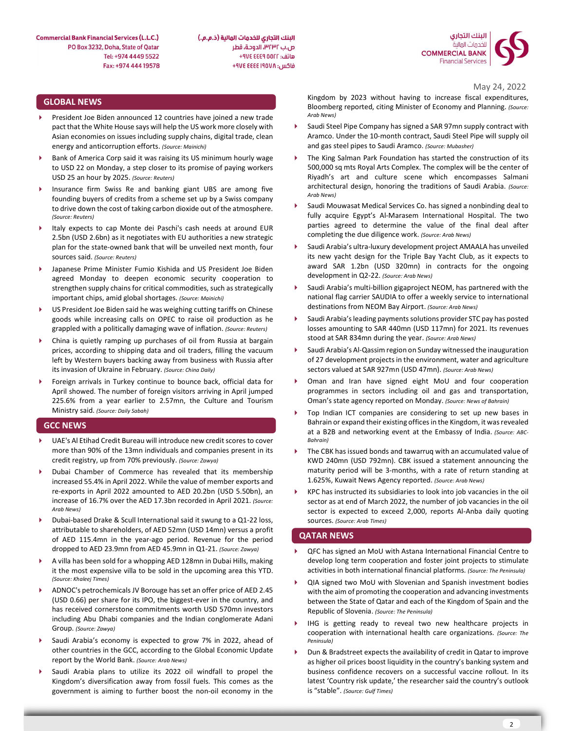البنك التجاري للخدمات المالية (ذ.م.م.) ص.ب ٣٢٣٢، الدوحة، قطر هاتف: AVE EEE 9 00FF+ فاكس: ۴۹۷٤ ٤٤٤٤ ٤٧٤ +



May 24, 2022

# GLOBAL NEWS

- President Joe Biden announced 12 countries have joined a new trade pact that the White House says will help the US work more closely with Asian economies on issues including supply chains, digital trade, clean energy and anticorruption efforts. (Source: Mainichi)
- Bank of America Corp said it was raising its US minimum hourly wage to USD 22 on Monday, a step closer to its promise of paying workers USD 25 an hour by 2025. (Source: Reuters)
- Insurance firm Swiss Re and banking giant UBS are among five founding buyers of credits from a scheme set up by a Swiss company to drive down the cost of taking carbon dioxide out of the atmosphere. (Source: Reuters)
- Italy expects to cap Monte dei Paschi's cash needs at around EUR 2.5bn (USD 2.6bn) as it negotiates with EU authorities a new strategic plan for the state-owned bank that will be unveiled next month, four sources said. (Source: Reuters)
- Japanese Prime Minister Fumio Kishida and US President Joe Biden agreed Monday to deepen economic security cooperation to strengthen supply chains for critical commodities, such as strategically important chips, amid global shortages. (Source: Mainichi)
- US President Joe Biden said he was weighing cutting tariffs on Chinese goods while increasing calls on OPEC to raise oil production as he grappled with a politically damaging wave of inflation. (Source: Reuters)
- China is quietly ramping up purchases of oil from Russia at bargain prices, according to shipping data and oil traders, filling the vacuum left by Western buyers backing away from business with Russia after its invasion of Ukraine in February. (Source: China Daily)
- Foreign arrivals in Turkey continue to bounce back, official data for  $\longrightarrow$ April showed. The number of foreign visitors arriving in April jumped 225.6% from a year earlier to 2.57mn, the Culture and Tourism Ministry said. (Source: Daily Sabah)

## GCC NEWS

- UAE's Al Etihad Credit Bureau will introduce new credit scores to cover more than 90% of the 13mn individuals and companies present in its credit registry, up from 70% previously. (Source: Zawya)
- Dubai Chamber of Commerce has revealed that its membership increased 55.4% in April 2022. While the value of member exports and re-exports in April 2022 amounted to AED 20.2bn (USD 5.50bn), an increase of 16.7% over the AED 17.3bn recorded in April 2021. (Source: Arab News)
- Dubai-based Drake & Scull International said it swung to a Q1-22 loss, sources. (Source: Arab Times) attributable to shareholders, of AED 52mn (USD 14mn) versus a profit of AED 115.4mn in the year-ago period. Revenue for the period dropped to AED 23.9mn from AED 45.9mn in Q1-21. (Source: Zawya)
- A villa has been sold for a whopping AED 128mn in Dubai Hills, making it the most expensive villa to be sold in the upcoming area this YTD. (Source: Khaleej Times)
- ADNOC's petrochemicals JV Borouge has set an offer price of AED 2.45 (USD 0.66) per share for its IPO, the biggest-ever in the country, and has received cornerstone commitments worth USD 570mn investors including Abu Dhabi companies and the Indian conglomerate Adani Group. (Source: Zawya)
- Saudi Arabia's economy is expected to grow 7% in 2022, ahead of other countries in the GCC, according to the Global Economic Update report by the World Bank. (Source: Arab News)
- Saudi Arabia plans to utilize its 2022 oil windfall to propel the Kingdom's diversification away from fossil fuels. This comes as the government is aiming to further boost the non-oil economy in the

Kingdom by 2023 without having to increase fiscal expenditures, Bloomberg reported, citing Minister of Economy and Planning. (Source: Arab News)

- Saudi Steel Pipe Company has signed a SAR 97mn supply contract with Aramco. Under the 10-month contract, Saudi Steel Pipe will supply oil and gas steel pipes to Saudi Aramco. (Source: Mubasher)
- The King Salman Park Foundation has started the construction of its 500,000 sq mts Royal Arts Complex. The complex will be the center of Riyadh's art and culture scene which encompasses Salmani architectural design, honoring the traditions of Saudi Arabia. (Source: Arab News)
- Saudi Mouwasat Medical Services Co. has signed a nonbinding deal to fully acquire Egypt's Al-Marasem International Hospital. The two parties agreed to determine the value of the final deal after completing the due diligence work. (Source: Arab News)
- Saudi Arabia's ultra-luxury development project AMAALA has unveiled its new yacht design for the Triple Bay Yacht Club, as it expects to award SAR 1.2bn (USD 320mn) in contracts for the ongoing development in Q2-22. (Source: Arab News)
- Saudi Arabia's multi-billion gigaproject NEOM, has partnered with the national flag carrier SAUDIA to offer a weekly service to international destinations from NEOM Bay Airport. (Source: Arab News)
- Saudi Arabia's leading payments solutions provider STC pay has posted losses amounting to SAR 440mn (USD 117mn) for 2021. Its revenues stood at SAR 834mn during the year. (Source: Arab News)
- Saudi Arabia's Al-Qassim region on Sunday witnessed the inauguration of 27 development projects in the environment, water and agriculture sectors valued at SAR 927mn (USD 47mn). (Source: Arab News)
- Oman and Iran have signed eight MoU and four cooperation programmes in sectors including oil and gas and transportation, Oman's state agency reported on Monday. (Source: News of Bahrain)
- Top Indian ICT companies are considering to set up new bases in Bahrain or expand their existing offices in the Kingdom, it was revealed at a B2B and networking event at the Embassy of India. (Source: ABC-Bahrain)
- The CBK has issued bonds and tawarruq with an accumulated value of KWD 240mn (USD 792mn). CBK issued a statement announcing the maturity period will be 3-months, with a rate of return standing at 1.625%, Kuwait News Agency reported. (Source: Arab News)
- KPC has instructed its subsidiaries to look into job vacancies in the oil sector as at end of March 2022, the number of job vacancies in the oil sector is expected to exceed 2,000, reports Al-Anba daily quoting

## QATAR NEWS

- QFC has signed an MoU with Astana International Financial Centre to develop long term cooperation and foster joint projects to stimulate activities in both international financial platforms. (Source: The Peninsula)
- QIA signed two MoU with Slovenian and Spanish investment bodies with the aim of promoting the cooperation and advancing investments between the State of Qatar and each of the Kingdom of Spain and the Republic of Slovenia. (Source: The Peninsula)
- IHG is getting ready to reveal two new healthcare projects in cooperation with international health care organizations. (Source: The Peninsula)
- Dun & Bradstreet expects the availability of credit in Qatar to improve as higher oil prices boost liquidity in the country's banking system and business confidence recovers on a successful vaccine rollout. In its latest 'Country risk update,' the researcher said the country's outlook is "stable". (Source: Gulf Times)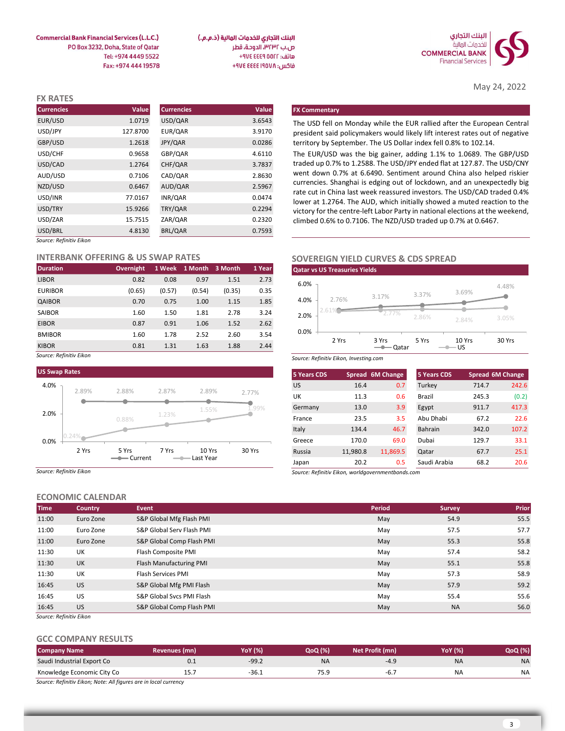

May 24, 2022

4.48%

البنك التجاري للخدمات المالية (ذ.م.م.) ص.ب ٣٢٣٢، الدوحة، قطر هاتف: ٩٧٤ ٤٤٤٩ ٧٧٤ فاكس: ٩٧٤ ٤٤٤٤ ٤٧٤ +٩٧٤

**Commercial Bank Financial Services (L.L.C.)** PO Box 3232, Doha, State of Qatar Tel: +974 4449 5522 Fax: +974 444 19578

| <b>FX RATES</b>         |          |                   |        |                                                                                                                                                      |
|-------------------------|----------|-------------------|--------|------------------------------------------------------------------------------------------------------------------------------------------------------|
| <b>Currencies</b>       | Value    | <b>Currencies</b> | Value  | <b>FX Commentary</b>                                                                                                                                 |
| EUR/USD                 | 1.0719   | USD/QAR           | 3.6543 | The USD fell on Monday while the EUR rallied after the European Central                                                                              |
| USD/JPY                 | 127.8700 | EUR/QAR           | 3.9170 | president said policymakers would likely lift interest rates out of negative                                                                         |
| GBP/USD                 | 1.2618   | JPY/QAR           | 0.0286 | territory by September. The US Dollar index fell 0.8% to 102.14.                                                                                     |
| USD/CHF                 | 0.9658   | GBP/QAR           | 4.6110 | The EUR/USD was the big gainer, adding 1.1% to 1.0689. The GBP/USD                                                                                   |
| USD/CAD                 | 1.2764   | CHF/QAR           | 3.7837 | traded up 0.7% to 1.2588. The USD/JPY ended flat at 127.87. The USD/CNY                                                                              |
| AUD/USD                 | 0.7106   | CAD/QAR           | 2.8630 | went down 0.7% at 6.6490. Sentiment around China also helped riskier                                                                                 |
| NZD/USD                 | 0.6467   | AUD/QAR           | 2.5967 | currencies. Shanghai is edging out of lockdown, and an unexpectedly big                                                                              |
| USD/INR                 | 77.0167  | INR/QAR           | 0.0474 | rate cut in China last week reassured investors. The USD/CAD traded 0.4%<br>lower at 1.2764. The AUD, which initially showed a muted reaction to the |
| USD/TRY                 | 15.9266  | TRY/QAR           | 0.2294 | victory for the centre-left Labor Party in national elections at the weekend,                                                                        |
| USD/ZAR                 | 15.7515  | ZAR/QAR           | 0.2320 | climbed 0.6% to 0.7106. The NZD/USD traded up 0.7% at 0.6467.                                                                                        |
| USD/BRL                 | 4.8130   | BRL/QAR           | 0.7593 |                                                                                                                                                      |
| Source: Refinitiv Eikon |          |                   |        |                                                                                                                                                      |

### INTERBANK OFFERING & US SWAP RATES

| <b>Duration</b> | <b>Overnight</b> |        | 1 Week 1 Month 3 Month |        | 1 Year |
|-----------------|------------------|--------|------------------------|--------|--------|
| <b>LIBOR</b>    | 0.82             | 0.08   | 0.97                   | 1.51   | 2.73   |
| <b>EURIBOR</b>  | (0.65)           | (0.57) | (0.54)                 | (0.35) | 0.35   |
| QAIBOR          | 0.70             | 0.75   | 1.00                   | 1.15   | 1.85   |
| <b>SAIBOR</b>   | 1.60             | 1.50   | 1.81                   | 2.78   | 3.24   |
| <b>EIBOR</b>    | 0.87             | 0.91   | 1.06                   | 1.52   | 2.62   |
| <b>BMIBOR</b>   | 1.60             | 1.78   | 2.52                   | 2.60   | 3.54   |
| <b>KIBOR</b>    | 0.81             | 1.31   | 1.63                   | 1.88   | 2.44   |

Source: Refinitiv Eikon



Source: Refinitiv Eikon

# ECONOMIC CALENDAR

| <b>Time</b> | <b>Country</b> | <b>Event</b>              | Period | Survey    | Prior |
|-------------|----------------|---------------------------|--------|-----------|-------|
| 11:00       | Euro Zone      | S&P Global Mfg Flash PMI  | May    | 54.9      | 55.5  |
| 11:00       | Euro Zone      | S&P Global Serv Flash PMI | May    | 57.5      | 57.7  |
| 11:00       | Euro Zone      | S&P Global Comp Flash PMI | May    | 55.3      | 55.8  |
| 11:30       | UK             | Flash Composite PMI       | May    | 57.4      | 58.2  |
| 11:30       | <b>UK</b>      | Flash Manufacturing PMI   | May    | 55.1      | 55.8  |
| 11:30       | UK             | Flash Services PMI        | May    | 57.3      | 58.9  |
| 16:45       | US.            | S&P Global Mfg PMI Flash  | May    | 57.9      | 59.2  |
| 16:45       | US.            | S&P Global Svcs PMI Flash | May    | 55.4      | 55.6  |
| 16:45       | <b>US</b>      | S&P Global Comp Flash PMI | May    | <b>NA</b> | 56.0  |
|             |                |                           |        |           |       |

Source: Refinitiv Eikon

# GCC COMPANY RESULTS

| <b>Company Name</b>                                              | Revenues (mn) | <b>YoY</b> (%) | QoQ (%)   | Net Profit (mn) | YoY (%) | <b>QoQ</b> (%) |
|------------------------------------------------------------------|---------------|----------------|-----------|-----------------|---------|----------------|
| Saudi Industrial Export Co                                       | ∪.⊥           | $-99.2$        | <b>NA</b> | $-40$           | NA      | IΝP            |
| Knowledge Economic City Co                                       | ⊥.            | $-36.1$        | 75.5      | -o.,            | N۶      | NΑ             |
| Source: Refinitiv Eikon; Note: All figures are in local currency |               |                |           |                 |         |                |

|                   | 15.7515                               | ZAR/QAR                  |             |        | 0.2320 |                    | climbed 0.6% to 0.7106. The NZD/USD traded up 0.7% at 0.6467. |                                  |                    |                             |                  |
|-------------------|---------------------------------------|--------------------------|-------------|--------|--------|--------------------|---------------------------------------------------------------|----------------------------------|--------------------|-----------------------------|------------------|
|                   | 4.8130                                | BRL/QAR                  |             |        | 0.7593 |                    |                                                               |                                  |                    |                             |                  |
| Eikon             |                                       |                          |             |        |        |                    |                                                               |                                  |                    |                             |                  |
|                   | <b>K OFFERING &amp; US SWAP RATES</b> |                          |             |        |        |                    | <b>SOVEREIGN YIELD CURVES &amp; CDS SPREAD</b>                |                                  |                    |                             |                  |
|                   | Overnight 1 Week 1 Month 3 Month      |                          |             |        | 1 Year |                    | <b>Qatar vs US Treasuries Yields</b>                          |                                  |                    |                             |                  |
|                   | 0.82                                  | 0.08                     | 0.97        | 1.51   | 2.73   | 6.0%               |                                                               |                                  |                    |                             |                  |
|                   | (0.65)                                | (0.57)                   | (0.54)      | (0.35) | 0.35   |                    |                                                               |                                  | 3.37%              | 3.69%                       | 4.48%            |
|                   | 0.70                                  | 0.75                     | 1.00        | 1.15   | 1.85   | 4.0%               | 2.76%                                                         | 3.17%                            |                    |                             |                  |
|                   | 1.60                                  | 1.50                     | 1.81        | 2.78   | 3.24   | 2.0%               | 1.61%                                                         | 2.77%                            | 2.86%              |                             | 3.05%            |
|                   | 0.87                                  | 0.91                     | 1.06        | 1.52   | 2.62   |                    |                                                               |                                  |                    | 2.84%                       |                  |
|                   | 1.60                                  | 1.78                     | 2.52        | 2.60   | 3.54   | 0.0%               | 2 Yrs                                                         |                                  | 5 Yrs              | 10 Yrs                      | 30 Yrs           |
|                   | 0.81                                  | 1.31                     | 1.63        | 1.88   | 2.44   |                    |                                                               | 3 Yrs<br>$\rightharpoonup$ Qatar | $ -$ US            |                             |                  |
| Eikon             |                                       |                          |             |        |        |                    | Source: Refinitiv Eikon, Investing.com                        |                                  |                    |                             |                  |
| lS.               |                                       |                          |             |        |        | <b>5 Years CDS</b> |                                                               | Spread 6M Change                 | <b>5 Years CDS</b> |                             | Spread 6M Change |
|                   |                                       |                          |             |        |        | <b>US</b>          | 16.4                                                          | 0.7                              | Turkey             | 714.7                       | 242.6            |
| 2.89%             | 2.88%                                 | 2.87%                    | 2.89%       |        | 2.77%  | UK                 | 11.3                                                          | 0.6                              | Brazil             | 245.3                       | (0.2)            |
|                   |                                       |                          | 1.55%       |        | 1.99%  | Germany            | 13.0                                                          | 3.9                              | Egypt              | 911.7                       | 417.3            |
|                   | 0.88%                                 | 1.23%                    |             |        |        | France             | 23.5                                                          | 3.5                              | Abu Dhabi          | 67.2                        | 22.6             |
|                   |                                       |                          |             |        |        | Italy              | 134.4                                                         | 46.7                             | Bahrain            | 342.0                       | 107.2            |
| ۰                 |                                       |                          |             |        |        | Greece             | 170.0                                                         | 69.0                             | Dubai              | 129.7                       | 33.1             |
| 2 Yrs             | 5 Yrs                                 | 7 Yrs                    | 10 Yrs      |        | 30 Yrs | Russia             | 11,980.8                                                      | 11,869.5                         | Qatar              | 67.7                        | 25.1             |
|                   | $\longrightarrow$ Current             |                          | - Last Year |        |        | Japan              | 20.2                                                          | 0.5                              | Saudi Arabia       | 68.2                        | 20.6             |
| Eikon             |                                       |                          |             |        |        |                    | Source: Refinitiv Eikon, worldgovernmentbonds.com             |                                  |                    |                             |                  |
|                   |                                       |                          |             |        |        |                    |                                                               |                                  |                    |                             |                  |
| <b>C CALENDAR</b> |                                       |                          |             |        |        |                    |                                                               |                                  |                    |                             |                  |
| Country           | Event                                 |                          |             |        |        |                    |                                                               | Period                           | <b>Survey</b>      |                             | Prior            |
| $F$ an Zama       |                                       | COD Clobal MAS Flock DML |             |        |        |                    |                                                               | A                                |                    | $\Gamma$ $\Lambda$ $\Omega$ | FF F             |

rate cut in China last week reassured investors. The USD/CAD traded 0.4% In Monday while the EUR rallied after the European Central<br>
id policymakers would likely lift interest rates out of negative<br>
September. The US Dollar index fell 0.8% to 102.14.<br>
D was the big gainer, adding 1.1% to 1.0689

2.61% 2.77% 2.86% 2.84% 3.05% 0.0%  $+$  . The contract of the contract of the contract of the contract of the contract of the contract of the contract of the contract of the contract of the contract of the contract of the contract of the contract of th  $2.0\%$   $2.86\%$   $2.86\%$   $2.86\%$   $2.86\%$